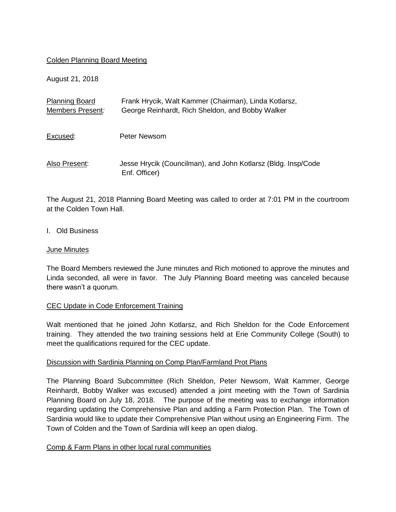## Colden Planning Board Meeting

August 21, 2018

| <b>Planning Board</b><br>Members Present: | Frank Hrycik, Walt Kammer (Chairman), Linda Kotlarsz,<br>George Reinhardt, Rich Sheldon, and Bobby Walker |
|-------------------------------------------|-----------------------------------------------------------------------------------------------------------|
| Excused:                                  | Peter Newsom                                                                                              |
| Also Present:                             | Jesse Hrycik (Councilman), and John Kotlarsz (Bldg. Insp/Code<br>Enf. Officer)                            |

The August 21, 2018 Planning Board Meeting was called to order at 7:01 PM in the courtroom at the Colden Town Hall.

#### I. Old Business

#### June Minutes

The Board Members reviewed the June minutes and Rich motioned to approve the minutes and Linda seconded, all were in favor. The July Planning Board meeting was canceled because there wasn't a quorum.

## CEC Update in Code Enforcement Training

Walt mentioned that he joined John Kotlarsz, and Rich Sheldon for the Code Enforcement training. They attended the two training sessions held at Erie Community College (South) to meet the qualifications required for the CEC update.

## Discussion with Sardinia Planning on Comp Plan/Farmland Prot Plans

The Planning Board Subcommittee (Rich Sheldon, Peter Newsom, Walt Kammer, George Reinhardt, Bobby Walker was excused) attended a joint meeting with the Town of Sardinia Planning Board on July 18, 2018. The purpose of the meeting was to exchange information regarding updating the Comprehensive Plan and adding a Farm Protection Plan. The Town of Sardinia would like to update their Comprehensive Plan without using an Engineering Firm. The Town of Colden and the Town of Sardinia will keep an open dialog.

## Comp & Farm Plans in other local rural communities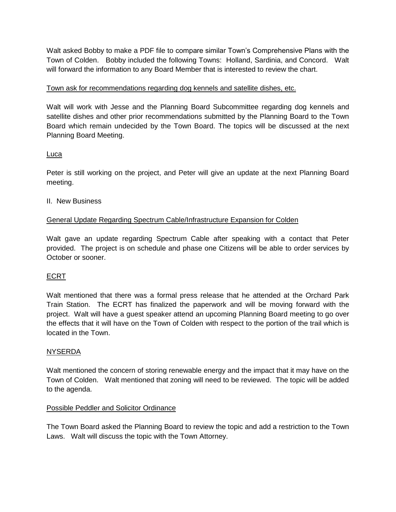Walt asked Bobby to make a PDF file to compare similar Town's Comprehensive Plans with the Town of Colden. Bobby included the following Towns: Holland, Sardinia, and Concord. Walt will forward the information to any Board Member that is interested to review the chart.

# Town ask for recommendations regarding dog kennels and satellite dishes, etc.

Walt will work with Jesse and the Planning Board Subcommittee regarding dog kennels and satellite dishes and other prior recommendations submitted by the Planning Board to the Town Board which remain undecided by the Town Board. The topics will be discussed at the next Planning Board Meeting.

# Luca

Peter is still working on the project, and Peter will give an update at the next Planning Board meeting.

# II. New Business

# General Update Regarding Spectrum Cable/Infrastructure Expansion for Colden

Walt gave an update regarding Spectrum Cable after speaking with a contact that Peter provided. The project is on schedule and phase one Citizens will be able to order services by October or sooner.

# ECRT

Walt mentioned that there was a formal press release that he attended at the Orchard Park Train Station. The ECRT has finalized the paperwork and will be moving forward with the project. Walt will have a guest speaker attend an upcoming Planning Board meeting to go over the effects that it will have on the Town of Colden with respect to the portion of the trail which is located in the Town.

## **NYSERDA**

Walt mentioned the concern of storing renewable energy and the impact that it may have on the Town of Colden. Walt mentioned that zoning will need to be reviewed. The topic will be added to the agenda.

## Possible Peddler and Solicitor Ordinance

The Town Board asked the Planning Board to review the topic and add a restriction to the Town Laws. Walt will discuss the topic with the Town Attorney.